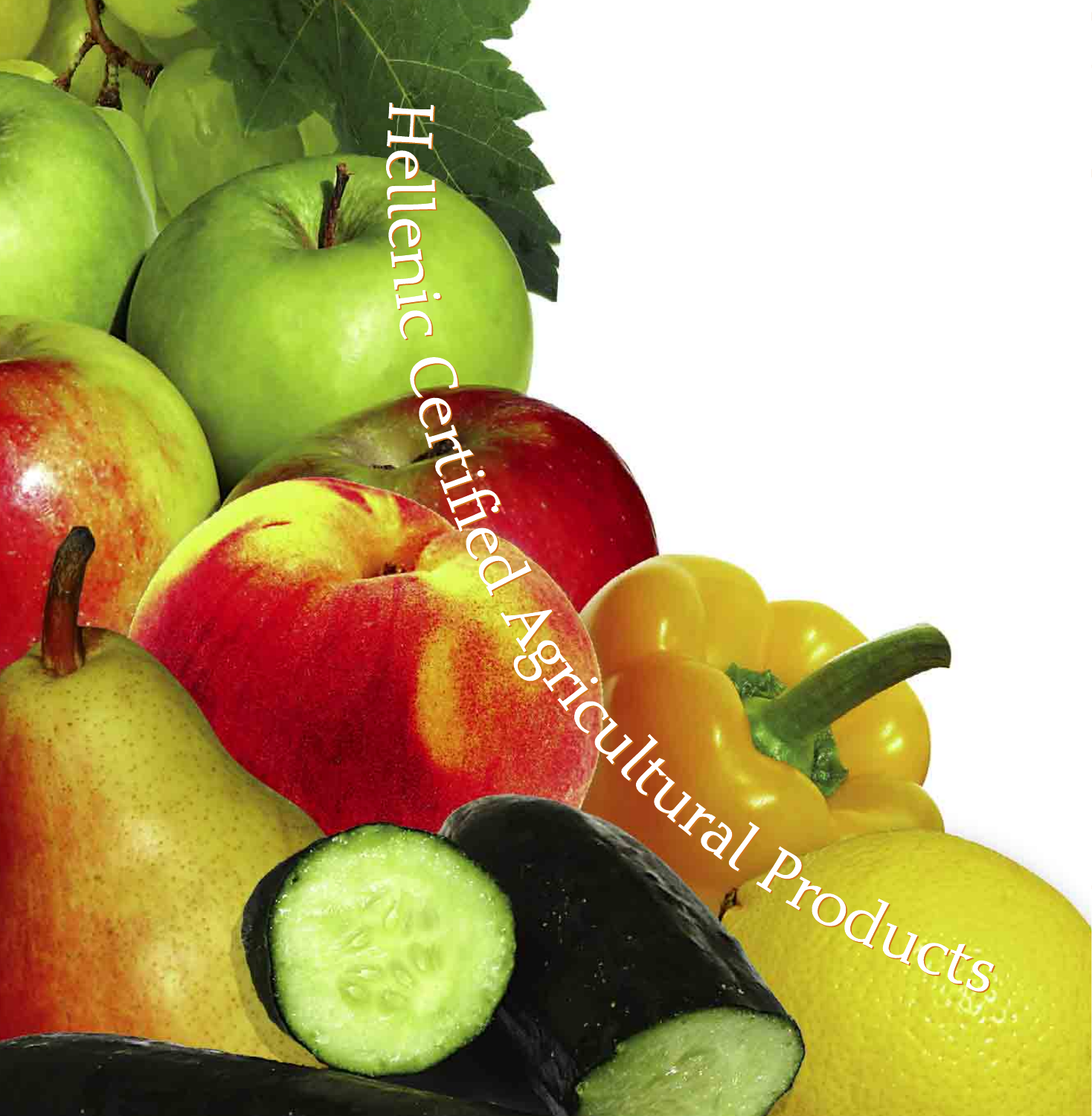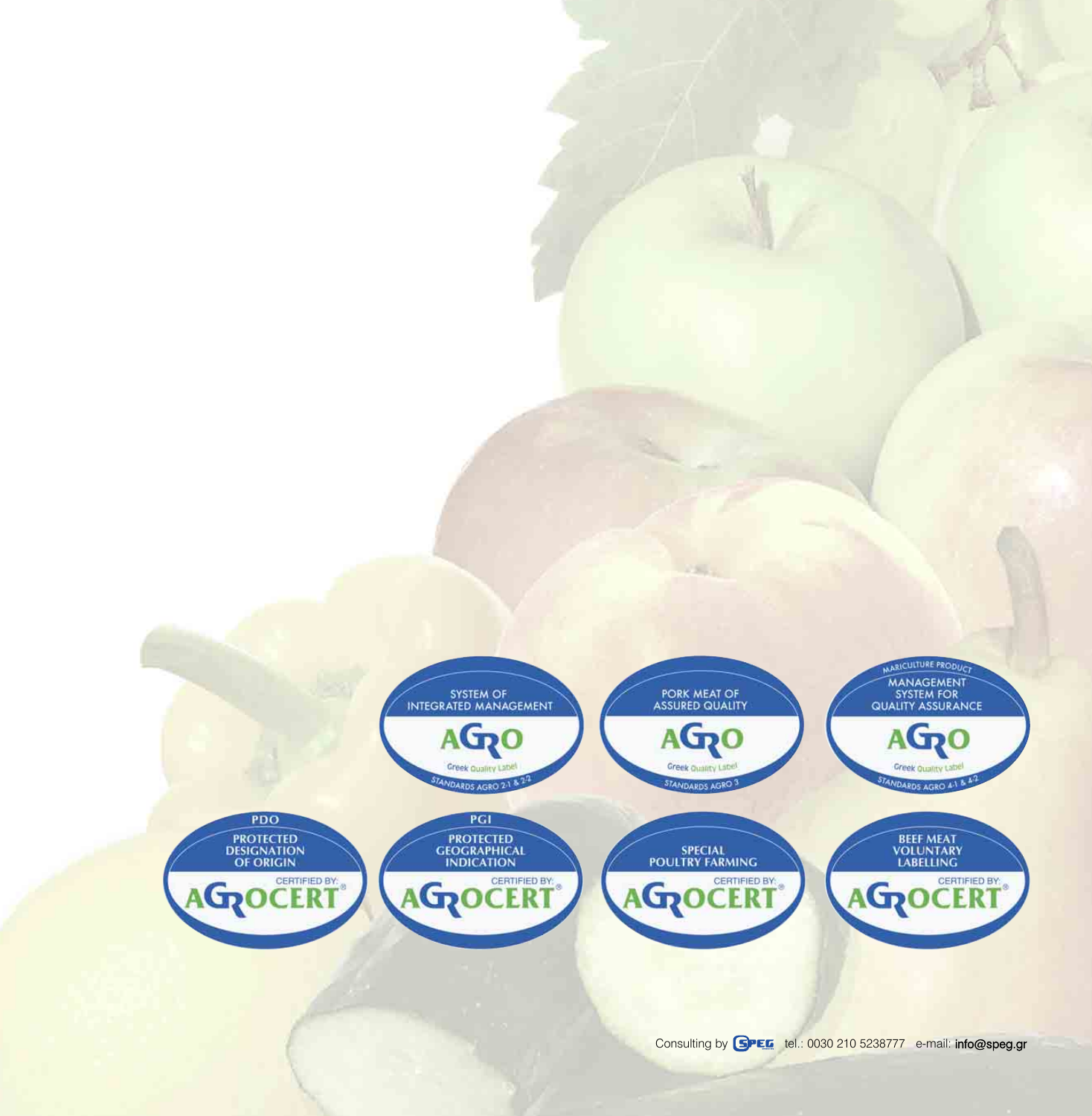

Consulting by **SPEE** tel.: 0030 210 5238777 e-mail: info@speg.gr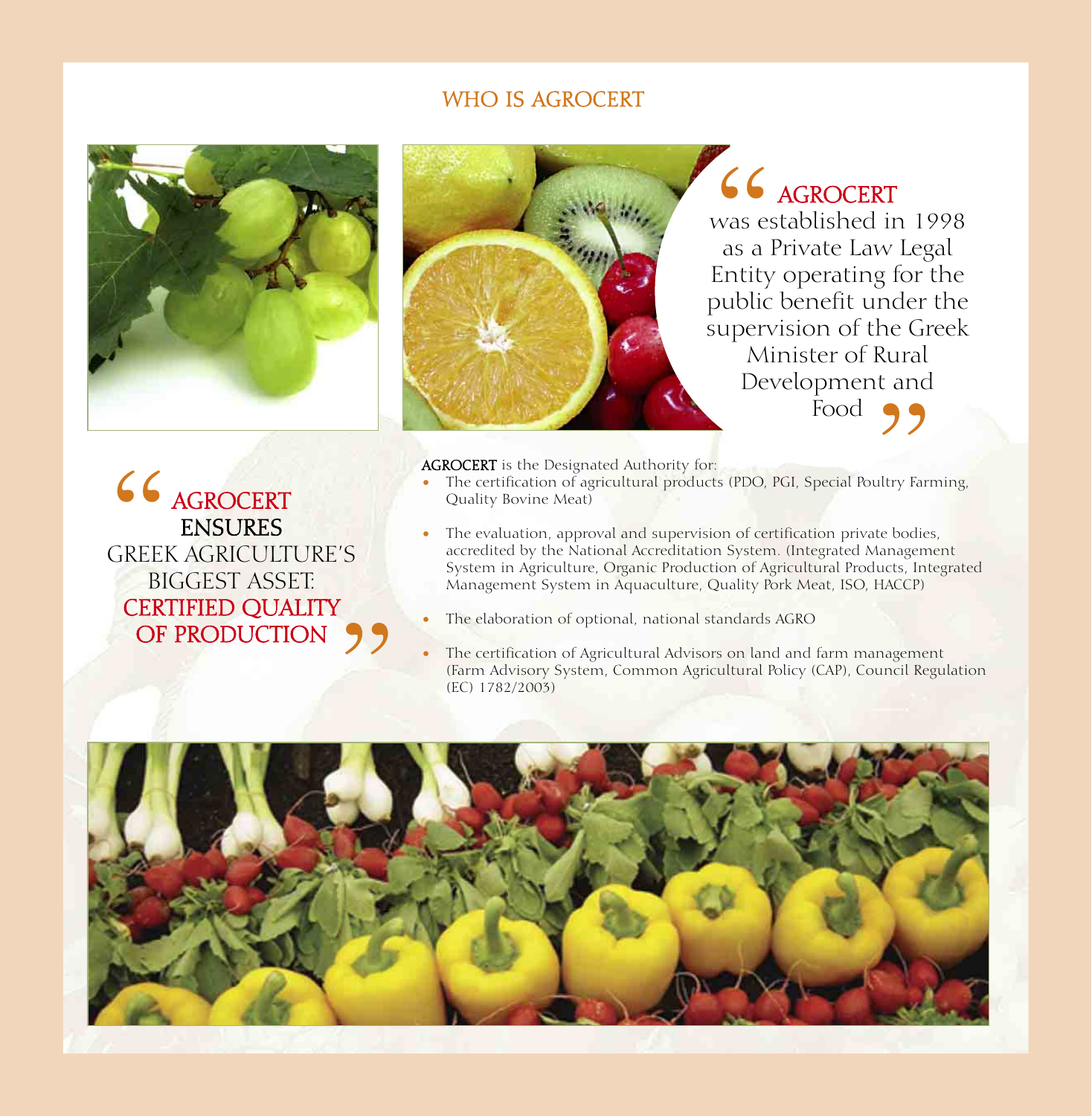## WHO IS AGROCERT



AGROCERT

was established in 1998 as a Private Law Legal Entity operating for the public benefit under the supervision of the Greek Minister of Rural Development and<br>
Food<br>
Do PGL Special Poultry Farm Food  $\frac{1}{6}$ 

**AGROCERT** is the Designated Authority for:<br>The certification of agricultural product

- The certification of agricultural products (PDO, PGI, Special Poultry Farming, Quality Bovine Meat)
- L. The evaluation, approval and supervision of certification private bodies, accredited by the National Accreditation System. (Integrated Management System in Agriculture, Organic Production of Agricultural Products, Integrated Management System in Aquaculture, Quality Pork Meat, ISO, HACCP)
- $\mathbf{r}$ The elaboration of optional, national standards AGRO
- L. The certification of Agricultural Advisors on land and farm management (Farm Advisory System, Common Agricultural Policy (CAP), Council Regulation (EC) 1782/2003)



AGROCERT ENSURES GREEK AGRICULTURE'S BIGGEST ASSET: CERTIFIED QUALITY OF PRODUCTION " **"**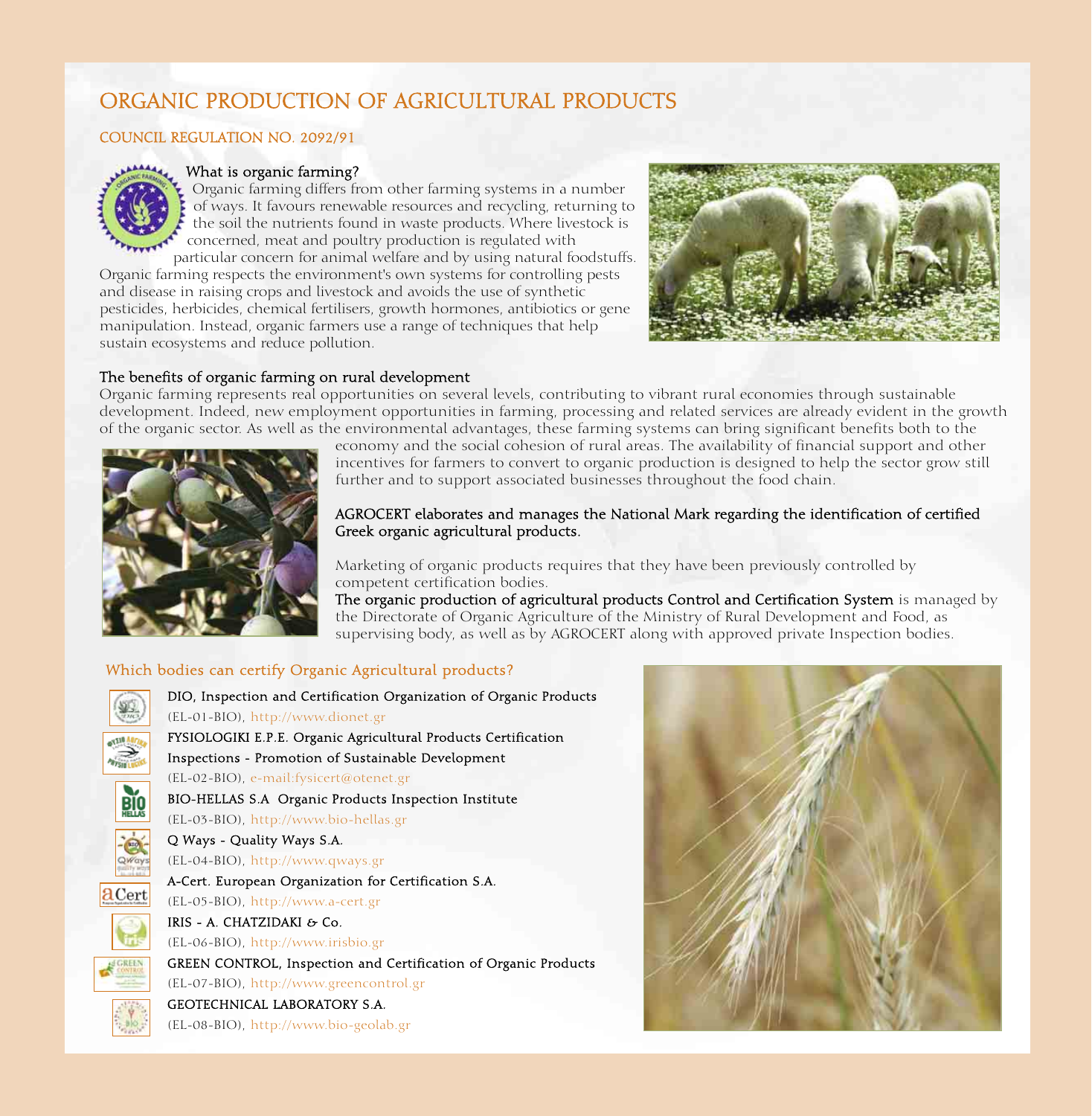# ORGANIC PRODUCTION OF AGRICULTURAL PRODUCTS

### COUNCIL REGULATION NO. 2092/91



### What is organic farming?

Organic farming differs from other farming systems in a number of ways. It favours renewable resources and recycling, returning to the soil the nutrients found in waste products. Where livestock is concerned, meat and poultry production is regulated with

particular concern for animal welfare and by using natural foodstuffs. Organic farming respects the environment's own systems for controlling pests and disease in raising crops and livestock and avoids the use of synthetic pesticides, herbicides, chemical fertilisers, growth hormones, antibiotics or gene manipulation. Instead, organic farmers use a range of techniques that help sustain ecosystems and reduce pollution.



#### The benefits of organic farming on rural development

Organic farming represents real opportunities on several levels, contributing to vibrant rural economies through sustainable development. Indeed, new employment opportunities in farming, processing and related services are already evident in the growth of the organic sector. As well as the environmental advantages, these farming systems can bring significant benefits both to the



economy and the social cohesion of rural areas. The availability of financial support and other incentives for farmers to convert to organic production is designed to help the sector grow still further and to support associated businesses throughout the food chain.

#### AGROCERT elaborates and manages the National Mark regarding the identification of certified Greek organic agricultural products.

Marketing of organic products requires that they have been previously controlled by competent certification bodies.

The organic production of agricultural products Control and Certification System is managed by the Directorate of Organic Agriculture of the Ministry of Rural Development and Food, as supervising body, as well as by AGROCERT along with approved private Inspection bodies.

### Which bodies can certify Organic Agricultural products?



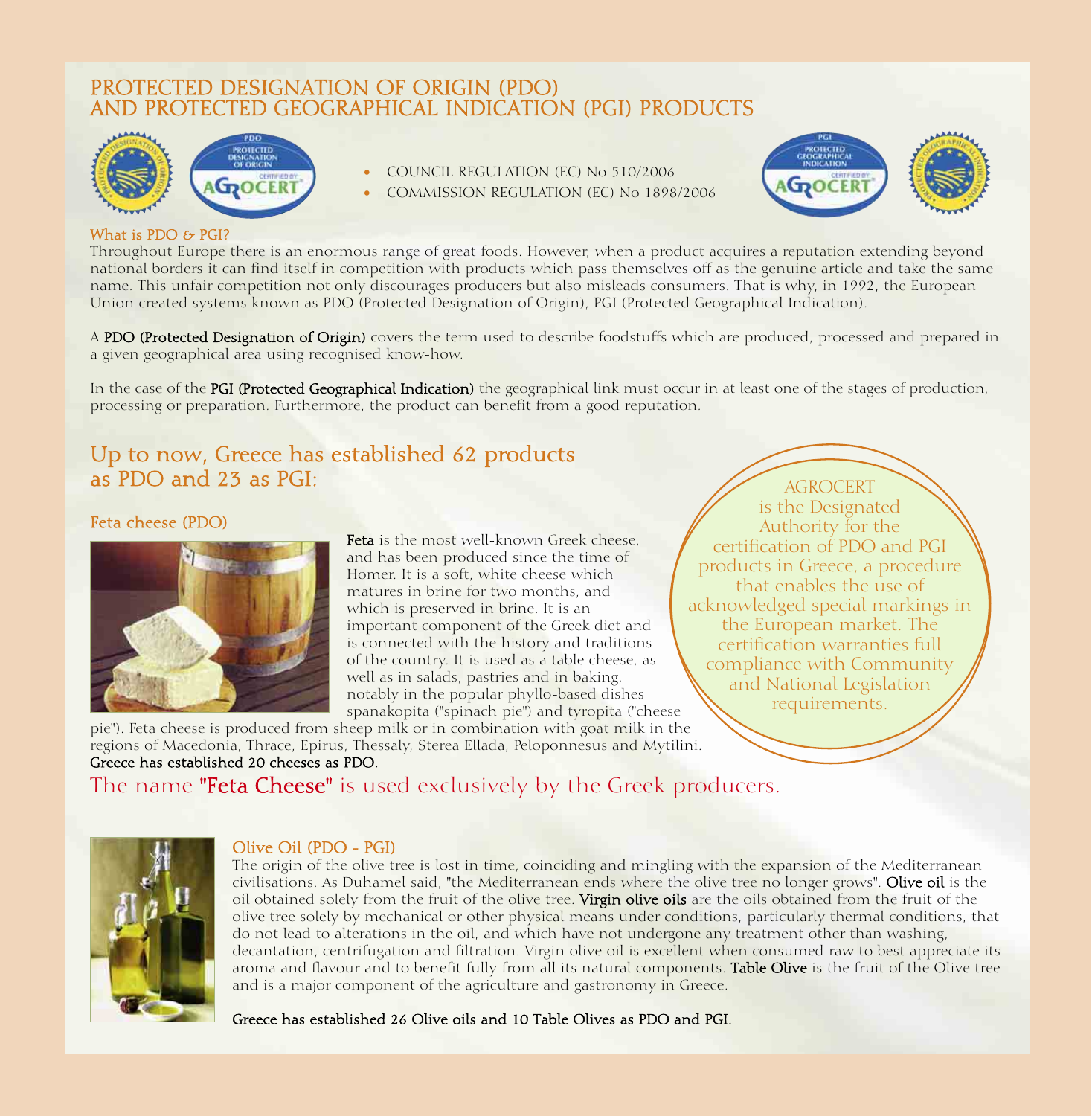### PROTECTED DESIGNATION OF ORIGIN (PDO) AND PROTECTED GEOGRAPHICAL INDICATION (PGI) PRODUCTS



- $\mathbf{r}$ COUNCIL REGULATION (EC) No 510/2006
- $\mathbf{r}$ COMMISSION REGULATION (EC) No 1898/2006



#### What is PDO  $6$  PGI?

Throughout Europe there is an enormous range of great foods. However, when a product acquires a reputation extending beyond national borders it can find itself in competition with products which pass themselves off as the genuine article and take the same name. This unfair competition not only discourages producers but also misleads consumers. That is why, in 1992, the European Union created systems known as PDO (Protected Designation of Origin), PGI (Protected Geographical Indication).

A PDO (Protected Designation of Origin) covers the term used to describe foodstuffs which are produced, processed and prepared in a given geographical area using recognised know-how.

In the case of the PGI (Protected Geographical Indication) the geographical link must occur in at least one of the stages of production, processing or preparation. Furthermore, the product can benefit from a good reputation.

## Up to now, Greece has established 62 products as PDO and 23 as PGI:

#### Feta cheese (PDO)



Feta is the most well-known Greek cheese. and has been produced since the time of Homer. It is a soft, white cheese which matures in brine for two months, and which is preserved in brine. It is an important component of the Greek diet and is connected with the history and traditions of the country. It is used as a table cheese, as well as in salads, pastries and in baking, notably in the popular phyllo-based dishes spanakopita ("spinach pie") and tyropita ("cheese

pie"). Feta cheese is produced from sheep milk or in combination with goat milk in the regions of Macedonia, Thrace, Epirus, Thessaly, Sterea Ellada, Peloponnesus and Mytilini. Greece has established 20 cheeses as PDO.

The name "Feta Cheese" is used exclusively by the Greek producers.

**AGROCERT** is the Designated Authority for the certification of PDO and PGI products in Greece, a procedure that enables the use of acknowledged special markings in the European market. The certification warranties full compliance with Community and National Legislation requirements.



### Olive Oil (PDO - PGI)

The origin of the olive tree is lost in time, coinciding and mingling with the expansion of the Mediterranean civilisations. As Duhamel said, "the Mediterranean ends where the olive tree no longer grows". Olive oil is the oil obtained solely from the fruit of the olive tree. Virgin olive oils are the oils obtained from the fruit of the olive tree solely by mechanical or other physical means under conditions, particularly thermal conditions, that do not lead to alterations in the oil, and which have not undergone any treatment other than washing, decantation, centrifugation and filtration. Virgin olive oil is excellent when consumed raw to best appreciate its aroma and flavour and to benefit fully from all its natural components. Table Olive is the fruit of the Olive tree and is a major component of the agriculture and gastronomy in Greece.

Greece has established 26 Olive oils and 10 Table Olives as PDO and PGI.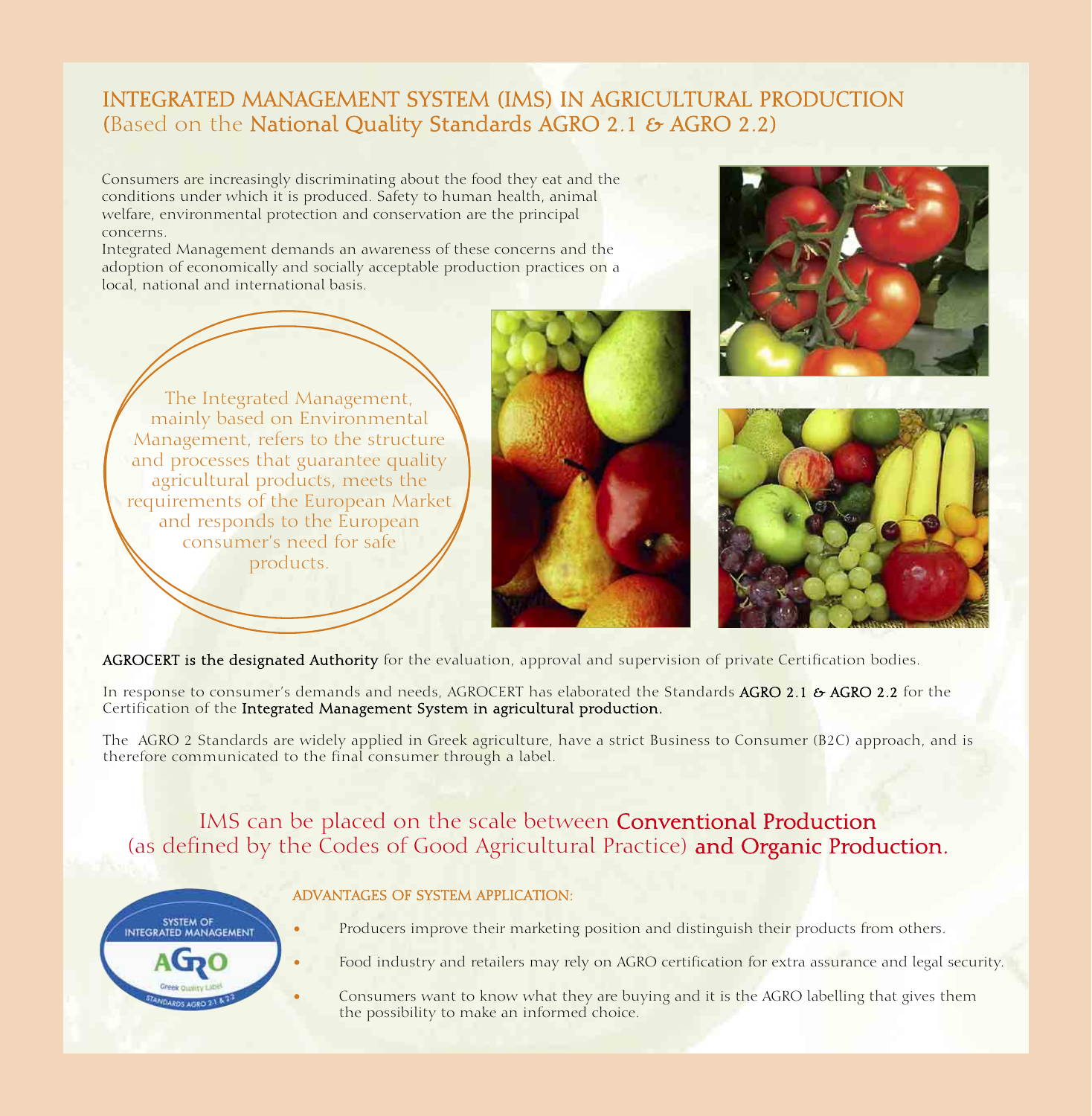## INTEGRATED MANAGEMENT SYSTEM (IMS) IN AGRICULTURAL PRODUCTION (Based on the National Quality Standards AGRO 2.1 & AGRO 2.2)

Consumers are increasingly discriminating about the food they eat and the conditions under which it is produced. Safety to human health, animal welfare, environmental protection and conservation are the principal concerns.

Integrated Management demands an awareness of these concerns and the adoption of economically and socially acceptable production practices on a local, national and international basis.

The Integrated Management, mainly based on Environmental Management, refers to the structure and processes that guarantee quality agricultural products, meets the requirements of the European Market and responds to the European consumer's need for safe products.







AGROCERT is the designated Authority for the evaluation, approval and supervision of private Certification bodies.

In response to consumer's demands and needs, AGROCERT has elaborated the Standards AGRO 2.1 & AGRO 2.2 for the Certification of the Integrated Management System in agricultural production.

The AGRO 2 Standards are widely applied in Greek agriculture, have a strict Business to Consumer (B2C) approach, and is therefore communicated to the final consumer through a label.

## IMS can be placed on the scale between Conventional Production (as defined by the Codes of Good Agricultural Practice) and Organic Production.

## ADVANTAGES OF SYSTEM APPLICATION: SYSTEM OF<br>INTEGRATED MANAGEMENT

J.

ż.

- L. Producers improve their marketing position and distinguish their products from others.
	- Food industry and retailers may rely on AGRO certification for extra assurance and legal security.
		- Consumers want to know what they are buying and it is the AGRO labelling that gives them the possibility to make an informed choice.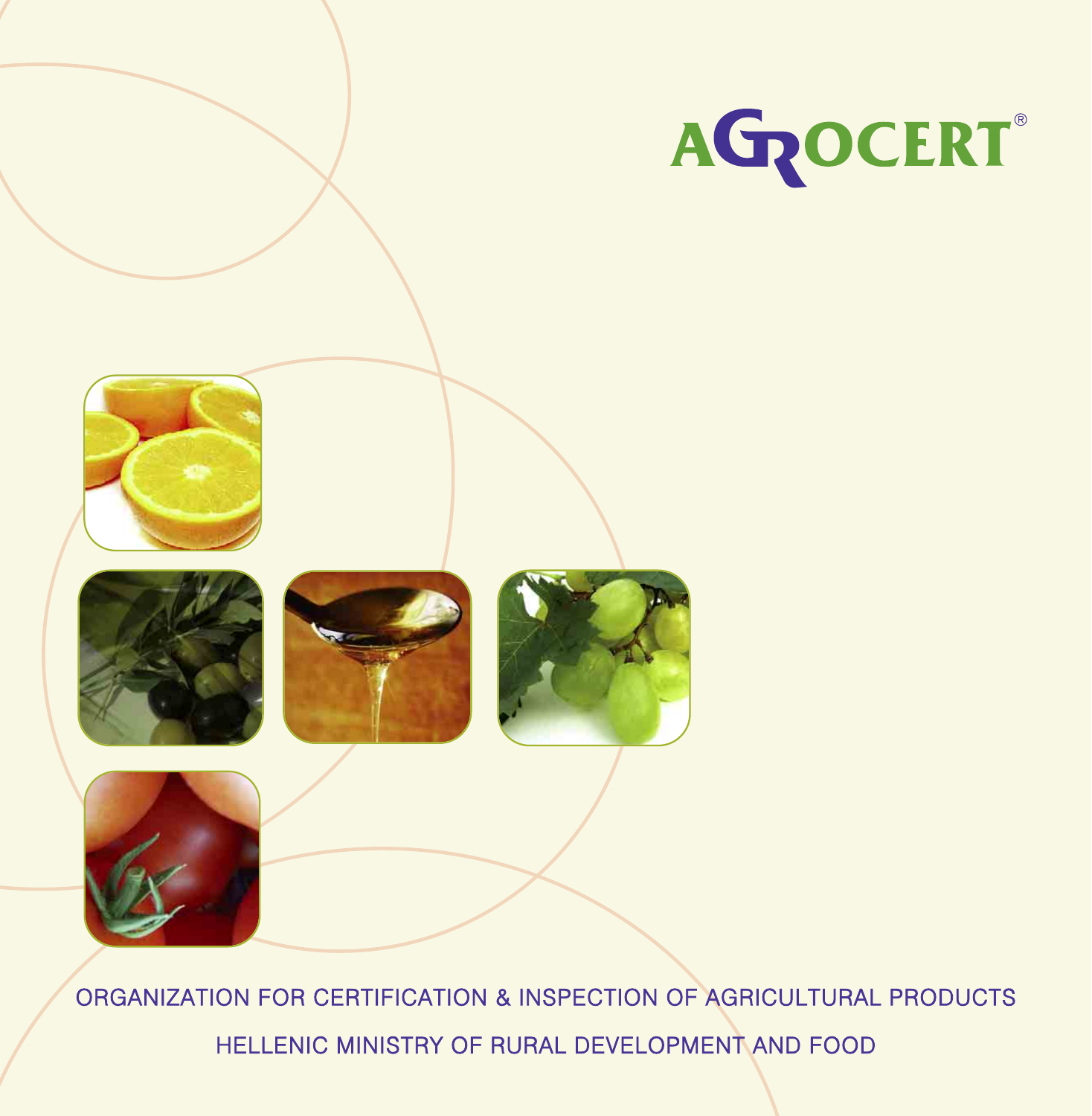









ORGANIZATION FOR CERTIFICATION & INSPECTION OF AGRICULTURAL PRODUCTS

HELLENIC MINISTRY OF RURAL DEVELOPMENT AND FOOD